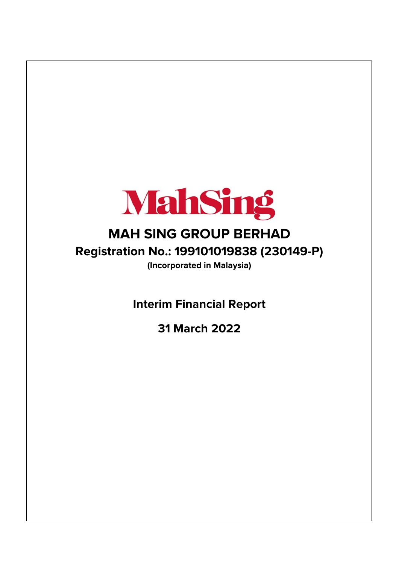

# **MAH SING GROUP BERHAD Registration No.: 199101019838 (230149-P)**

**(Incorporated in Malaysia)**

**Interim Financial Report**

**31 March 2022**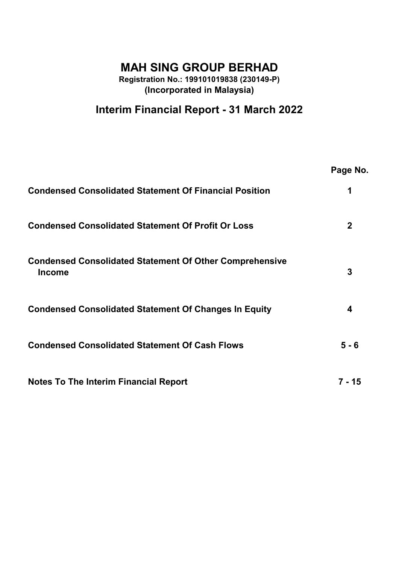## **MAH SING GROUP BERHAD**

**Registration No.: 199101019838 (230149-P) (Incorporated in Malaysia)**

## **Interim Financial Report - 31 March 2022**

|                                                                                 | Page No.    |
|---------------------------------------------------------------------------------|-------------|
| <b>Condensed Consolidated Statement Of Financial Position</b>                   |             |
| <b>Condensed Consolidated Statement Of Profit Or Loss</b>                       | $\mathbf 2$ |
| <b>Condensed Consolidated Statement Of Other Comprehensive</b><br><b>Income</b> | 3           |
| <b>Condensed Consolidated Statement Of Changes In Equity</b>                    | 4           |
| <b>Condensed Consolidated Statement Of Cash Flows</b>                           | $5 - 6$     |
| <b>Notes To The Interim Financial Report</b>                                    | 7 - 15      |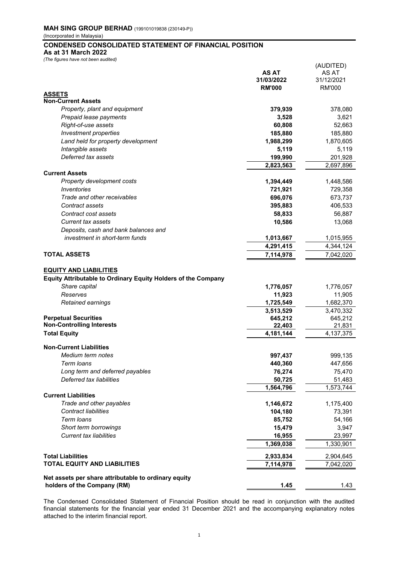## **CONDENSED CONSOLIDATED STATEMENT OF FINANCIAL POSITION**

**As at 31 March 2022**

| (The figures have not been audited)                                                                   |                             |                             |
|-------------------------------------------------------------------------------------------------------|-----------------------------|-----------------------------|
|                                                                                                       |                             | (AUDITED)                   |
|                                                                                                       | <b>AS AT</b>                | AS AT                       |
|                                                                                                       | 31/03/2022<br><b>RM'000</b> | 31/12/2021<br><b>RM'000</b> |
| <b>ASSETS</b>                                                                                         |                             |                             |
| <b>Non-Current Assets</b>                                                                             |                             |                             |
| Property, plant and equipment                                                                         | 379,939                     | 378,080                     |
| Prepaid lease payments                                                                                | 3,528                       | 3,621                       |
| Right-of-use assets                                                                                   | 60,808                      | 52,663                      |
| Investment properties                                                                                 | 185,880                     | 185,880                     |
| Land held for property development                                                                    | 1,988,299                   | 1,870,605                   |
| Intangible assets                                                                                     | 5,119                       | 5,119                       |
| Deferred tax assets                                                                                   | 199,990                     | 201,928                     |
|                                                                                                       | 2,823,563                   | 2,697,896                   |
| <b>Current Assets</b>                                                                                 |                             |                             |
| Property development costs                                                                            | 1,394,449                   | 1,448,586                   |
| Inventories                                                                                           | 721,921                     | 729,358                     |
| Trade and other receivables                                                                           | 696,076                     | 673,737                     |
| Contract assets                                                                                       | 395,883                     | 406,533                     |
| Contract cost assets                                                                                  | 58,833                      | 56,887                      |
| <b>Current tax assets</b>                                                                             | 10,586                      | 13,068                      |
| Deposits, cash and bank balances and                                                                  |                             |                             |
| investment in short-term funds                                                                        | 1,013,667                   | 1,015,955                   |
|                                                                                                       | 4,291,415                   | 4,344,124                   |
| <b>TOTAL ASSETS</b>                                                                                   | 7,114,978                   | 7,042,020                   |
| <b>EQUITY AND LIABILITIES</b><br><b>Equity Attributable to Ordinary Equity Holders of the Company</b> |                             |                             |
| Share capital                                                                                         | 1,776,057                   | 1,776,057                   |
| Reserves                                                                                              | 11,923                      | 11,905                      |
| Retained earnings                                                                                     | 1,725,549                   | 1,682,370                   |
|                                                                                                       | 3,513,529                   | 3,470,332                   |
| <b>Perpetual Securities</b>                                                                           | 645,212                     | 645,212                     |
| <b>Non-Controlling Interests</b>                                                                      | 22,403                      | 21,831                      |
| <b>Total Equity</b>                                                                                   | 4,181,144                   | 4,137,375                   |
| <b>Non-Current Liabilities</b>                                                                        |                             |                             |
| Medium term notes                                                                                     | 997,437                     | 999,135                     |
| Term loans                                                                                            | 440,360                     | 447,656                     |
| Long term and deferred payables                                                                       | 76,274                      | 75,470                      |
| Deferred tax liabilities                                                                              | 50,725                      | 51,483                      |
|                                                                                                       | 1,564,796                   | 1,573,744                   |
| <b>Current Liabilities</b>                                                                            |                             |                             |
| Trade and other payables                                                                              | 1,146,672                   | 1,175,400                   |
| <b>Contract liabilities</b>                                                                           | 104,180                     | 73,391                      |
| Term loans                                                                                            | 85,752                      | 54,166                      |
| Short term borrowings                                                                                 | 15,479                      | 3,947                       |
| <b>Current tax liabilities</b>                                                                        | 16,955                      | 23,997                      |
|                                                                                                       | 1,369,038                   | 1,330,901                   |
| <b>Total Liabilities</b>                                                                              | 2,933,834                   | 2,904,645                   |
| <b>TOTAL EQUITY AND LIABILITIES</b>                                                                   | 7,114,978                   | 7,042,020                   |
|                                                                                                       |                             |                             |

**Net assets per share attributable to ordinary equity holders of the Company (RM)** 1.43

The Condensed Consolidated Statement of Financial Position should be read in conjunction with the audited financial statements for the financial year ended 31 December 2021 and the accompanying explanatory notes attached to the interim financial report.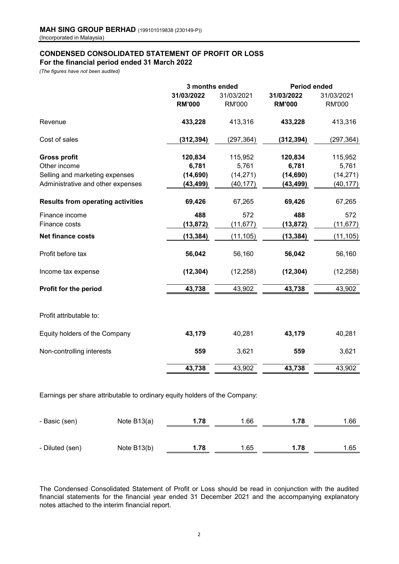## **CONDENSED CONSOLIDATED STATEMENT OF PROFIT OR LOSS For the financial period ended 31 March 2022**

*(The figures have not been audited)*

|                                                | 3 months ended              |                             | <b>Period ended</b>         |                             |
|------------------------------------------------|-----------------------------|-----------------------------|-----------------------------|-----------------------------|
|                                                | 31/03/2022<br><b>RM'000</b> | 31/03/2021<br><b>RM'000</b> | 31/03/2022<br><b>RM'000</b> | 31/03/2021<br><b>RM'000</b> |
| Revenue                                        | 433,228                     | 413,316                     | 433,228                     | 413,316                     |
| Cost of sales                                  | (312, 394)                  | (297, 364)                  | (312, 394)                  | (297,364)                   |
| <b>Gross profit</b>                            | 120,834                     | 115,952                     | 120,834                     | 115,952                     |
| Other income<br>Selling and marketing expenses | 6,781<br>(14, 690)          | 5,761<br>(14, 271)          | 6,781<br>(14, 690)          | 5,761<br>(14, 271)          |
| Administrative and other expenses              | (43, 499)                   | (40, 177)                   | (43, 499)                   | (40, 177)                   |
| <b>Results from operating activities</b>       | 69,426                      | 67,265                      | 69,426                      | 67,265                      |
| Finance income                                 | 488                         | 572                         | 488                         | 572                         |
| Finance costs                                  | (13, 872)                   | (11, 677)                   | (13, 872)                   | (11, 677)                   |
| <b>Net finance costs</b>                       | (13, 384)                   | (11, 105)                   | (13, 384)                   | (11, 105)                   |
| Profit before tax                              | 56,042                      | 56,160                      | 56,042                      | 56,160                      |
| Income tax expense                             | (12, 304)                   | (12, 258)                   | (12, 304)                   | (12, 258)                   |
| Profit for the period                          | 43,738                      | 43,902                      | 43,738                      | 43,902                      |
| Profit attributable to:                        |                             |                             |                             |                             |
| Equity holders of the Company                  | 43,179                      | 40,281                      | 43,179                      | 40,281                      |
| Non-controlling interests                      | 559                         | 3,621                       | 559                         | 3,621                       |
|                                                | 43,738                      | 43,902                      | 43,738                      | 43,902                      |

Earnings per share attributable to ordinary equity holders of the Company:

| - Basic (sen)   | Note $B13(a)$ | 1.78 | 1.66 | 1.78 | $^{\circ}.66$ |
|-----------------|---------------|------|------|------|---------------|
| - Diluted (sen) | Note B13(b)   | 1.78 | 1.65 | 1.78 | 1.65          |

The Condensed Consolidated Statement of Profit or Loss should be read in conjunction with the audited financial statements for the financial year ended 31 December 2021 and the accompanying explanatory notes attached to the interim financial report.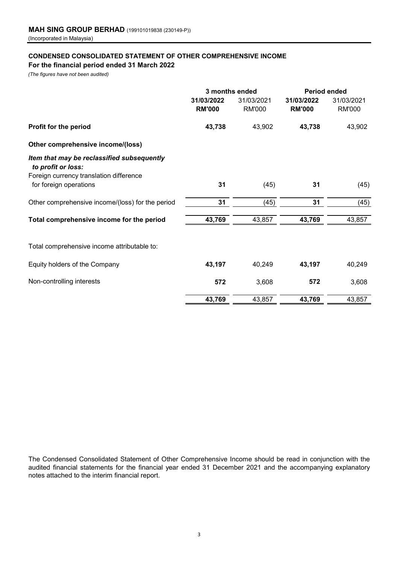## **CONDENSED CONSOLIDATED STATEMENT OF OTHER COMPREHENSIVE INCOME For the financial period ended 31 March 2022**

*(The figures have not been audited)*

|                                                                                                             | 3 months ended              |                             | <b>Period ended</b>         |                             |
|-------------------------------------------------------------------------------------------------------------|-----------------------------|-----------------------------|-----------------------------|-----------------------------|
|                                                                                                             | 31/03/2022<br><b>RM'000</b> | 31/03/2021<br><b>RM'000</b> | 31/03/2022<br><b>RM'000</b> | 31/03/2021<br><b>RM'000</b> |
| Profit for the period                                                                                       | 43,738                      | 43,902                      | 43,738                      | 43,902                      |
| Other comprehensive income/(loss)                                                                           |                             |                             |                             |                             |
| Item that may be reclassified subsequently<br>to profit or loss:<br>Foreign currency translation difference |                             |                             |                             |                             |
| for foreign operations                                                                                      | 31                          | (45)                        | 31                          | (45)                        |
| Other comprehensive income/(loss) for the period                                                            | 31                          | (45)                        | 31                          | (45)                        |
| Total comprehensive income for the period                                                                   | 43,769                      | 43,857                      | 43,769                      | 43,857                      |
| Total comprehensive income attributable to:                                                                 |                             |                             |                             |                             |
| Equity holders of the Company                                                                               | 43,197                      | 40,249                      | 43,197                      | 40,249                      |
| Non-controlling interests                                                                                   | 572                         | 3,608                       | 572                         | 3,608                       |
|                                                                                                             | 43,769                      | 43,857                      | 43,769                      | 43,857                      |

The Condensed Consolidated Statement of Other Comprehensive Income should be read in conjunction with the audited financial statements for the financial year ended 31 December 2021 and the accompanying explanatory notes attached to the interim financial report.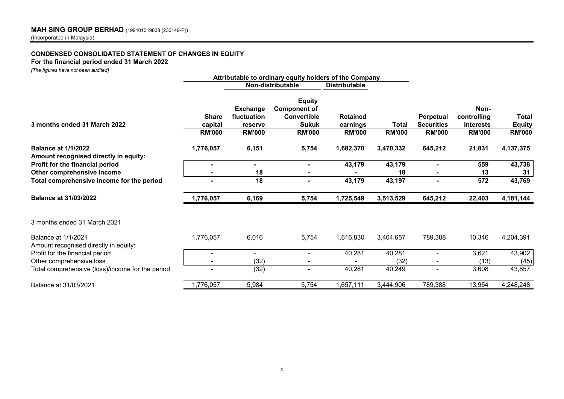## **CONDENSED CONSOLIDATED STATEMENT OF CHANGES IN EQUITY**

## **For the financial period ended 31 March 2022**

*(The figures have not been audited)*

|                                                                     |                                          |                                                            | Attributable to ordinary equity holders of the Company                                      |                                              |                        |                                                        |                                                   |                                         |
|---------------------------------------------------------------------|------------------------------------------|------------------------------------------------------------|---------------------------------------------------------------------------------------------|----------------------------------------------|------------------------|--------------------------------------------------------|---------------------------------------------------|-----------------------------------------|
|                                                                     |                                          |                                                            | Non-distributable                                                                           | <b>Distributable</b>                         |                        |                                                        |                                                   |                                         |
| 3 months ended 31 March 2022                                        | <b>Share</b><br>capital<br><b>RM'000</b> | <b>Exchange</b><br>fluctuation<br>reserve<br><b>RM'000</b> | <b>Equity</b><br><b>Component of</b><br><b>Convertible</b><br><b>Sukuk</b><br><b>RM'000</b> | <b>Retained</b><br>earnings<br><b>RM'000</b> | Total<br><b>RM'000</b> | <b>Perpetual</b><br><b>Securities</b><br><b>RM'000</b> | Non-<br>controlling<br>interests<br><b>RM'000</b> | Total<br><b>Equity</b><br><b>RM'000</b> |
| <b>Balance at 1/1/2022</b><br>Amount recognised directly in equity: | 1,776,057                                | 6,151                                                      | 5,754                                                                                       | 1,682,370                                    | 3,470,332              | 645,212                                                | 21,831                                            | 4, 137, 375                             |
| Profit for the financial period                                     |                                          | ÷                                                          | $\blacksquare$                                                                              | 43,179                                       | 43,179                 |                                                        | 559                                               | 43,738                                  |
| Other comprehensive income                                          |                                          | 18                                                         | $\blacksquare$                                                                              |                                              | 18                     | $\blacksquare$                                         | 13                                                | 31                                      |
| Total comprehensive income for the period                           |                                          | 18                                                         | $\blacksquare$                                                                              | 43,179                                       | 43,197                 |                                                        | 572                                               | 43,769                                  |
| <b>Balance at 31/03/2022</b>                                        | 1,776,057                                | 6,169                                                      | 5,754                                                                                       | 1,725,549                                    | 3,513,529              | 645,212                                                | 22,403                                            | 4,181,144                               |
| 3 months ended 31 March 2021                                        |                                          |                                                            |                                                                                             |                                              |                        |                                                        |                                                   |                                         |
| Balance at 1/1/2021<br>Amount recognised directly in equity:        | 1,776,057                                | 6,016                                                      | 5,754                                                                                       | 1,616,830                                    | 3,404,657              | 789,388                                                | 10,346                                            | 4,204,391                               |
| Profit for the financial period                                     |                                          |                                                            | ٠                                                                                           | 40,281                                       | 40,281                 | $\blacksquare$                                         | 3,621                                             | 43,902                                  |
| Other comprehensive loss                                            |                                          | (32)                                                       |                                                                                             |                                              | (32)                   |                                                        | (13)                                              | (45)                                    |
| Total comprehensive (loss)/income for the period                    |                                          | (32)                                                       | ٠                                                                                           | 40,281                                       | 40,249                 | $\blacksquare$                                         | 3,608                                             | 43,857                                  |
| Balance at 31/03/2021                                               | 1,776,057                                | 5,984                                                      | 5,754                                                                                       | 1,657,111                                    | 3,444,906              | 789,388                                                | 13,954                                            | 4,248,248                               |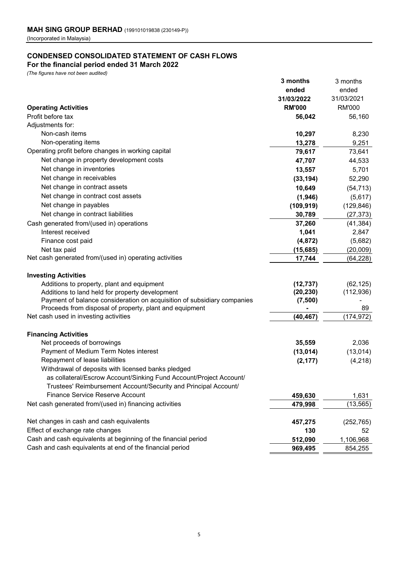## **CONDENSED CONSOLIDATED STATEMENT OF CASH FLOWS For the financial period ended 31 March 2022**

*(The figures have not been audited)*

|                                                                         | 3 months      | 3 months      |
|-------------------------------------------------------------------------|---------------|---------------|
|                                                                         | ended         | ended         |
|                                                                         | 31/03/2022    | 31/03/2021    |
| <b>Operating Activities</b>                                             | <b>RM'000</b> | <b>RM'000</b> |
| Profit before tax                                                       | 56,042        | 56,160        |
| Adjustments for:                                                        |               |               |
| Non-cash items                                                          | 10,297        | 8,230         |
| Non-operating items                                                     | 13,278        | 9,251         |
| Operating profit before changes in working capital                      | 79,617        | 73,641        |
| Net change in property development costs                                | 47,707        | 44,533        |
| Net change in inventories                                               | 13,557        | 5,701         |
| Net change in receivables                                               | (33, 194)     | 52,290        |
| Net change in contract assets                                           | 10,649        | (54, 713)     |
| Net change in contract cost assets                                      | (1,946)       | (5,617)       |
| Net change in payables                                                  | (109, 919)    | (129, 846)    |
| Net change in contract liabilities                                      | 30,789        | (27, 373)     |
| Cash generated from/(used in) operations                                | 37,260        | (41, 384)     |
| Interest received                                                       | 1,041         | 2,847         |
| Finance cost paid                                                       | (4, 872)      | (5,682)       |
| Net tax paid                                                            | (15,685)      | (20,009)      |
| Net cash generated from/(used in) operating activities                  | 17,744        | (64, 228)     |
| <b>Investing Activities</b>                                             |               |               |
| Additions to property, plant and equipment                              | (12, 737)     | (62, 125)     |
| Additions to land held for property development                         | (20, 230)     | (112, 936)    |
| Payment of balance consideration on acquisition of subsidiary companies | (7, 500)      |               |
| Proceeds from disposal of property, plant and equipment                 |               | 89            |
| Net cash used in investing activities                                   | (40, 467)     | (174, 972)    |
| <b>Financing Activities</b>                                             |               |               |
| Net proceeds of borrowings                                              | 35,559        | 2,036         |
| Payment of Medium Term Notes interest                                   | (13, 014)     | (13, 014)     |
| Repayment of lease liabilities                                          | (2, 177)      | (4, 218)      |
| Withdrawal of deposits with licensed banks pledged                      |               |               |
| as collateral/Escrow Account/Sinking Fund Account/Project Account/      |               |               |
| Trustees' Reimbursement Account/Security and Principal Account/         |               |               |
| <b>Finance Service Reserve Account</b>                                  | 459,630       | 1,631         |
| Net cash generated from/(used in) financing activities                  | 479,998       | (13, 565)     |
| Net changes in cash and cash equivalents                                | 457,275       | (252, 765)    |
| Effect of exchange rate changes                                         | 130           | 52            |
| Cash and cash equivalents at beginning of the financial period          | 512,090       | 1,106,968     |
| Cash and cash equivalents at end of the financial period                | 969,495       | 854,255       |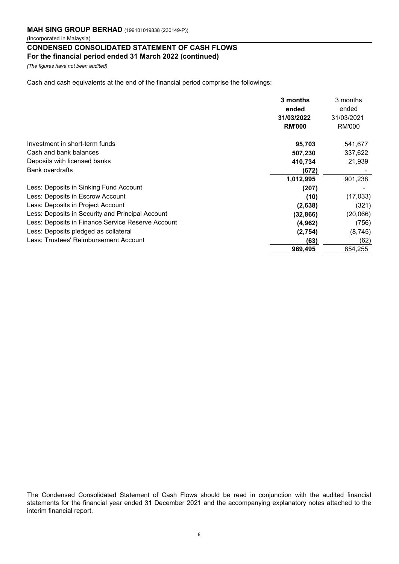### **CONDENSED CONSOLIDATED STATEMENT OF CASH FLOWS For the financial period ended 31 March 2022 (continued)**

*(The figures have not been audited)*

Cash and cash equivalents at the end of the financial period comprise the followings:

|                                                   | 3 months<br>ended | 3 months<br>ended |
|---------------------------------------------------|-------------------|-------------------|
|                                                   | 31/03/2022        | 31/03/2021        |
|                                                   | <b>RM'000</b>     | <b>RM'000</b>     |
| Investment in short-term funds                    | 95,703            | 541,677           |
| Cash and bank balances                            | 507,230           | 337,622           |
| Deposits with licensed banks                      | 410,734           | 21,939            |
| <b>Bank overdrafts</b>                            | (672)             |                   |
|                                                   | 1,012,995         | 901,238           |
| Less: Deposits in Sinking Fund Account            | (207)             |                   |
| Less: Deposits in Escrow Account                  | (10)              | (17,033)          |
| Less: Deposits in Project Account                 | (2,638)           | (321)             |
| Less: Deposits in Security and Principal Account  | (32, 866)         | (20,066)          |
| Less: Deposits in Finance Service Reserve Account | (4, 962)          | (756)             |
| Less: Deposits pledged as collateral              | (2,754)           | (8, 745)          |
| Less: Trustees' Reimbursement Account             | (63)              | (62)              |
|                                                   | 969,495           | 854,255           |

The Condensed Consolidated Statement of Cash Flows should be read in conjunction with the audited financial statements for the financial year ended 31 December 2021 and the accompanying explanatory notes attached to the interim financial report.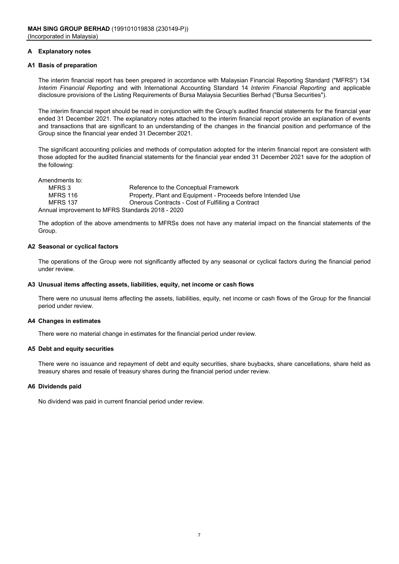### **A Explanatory notes**

### **A1 Basis of preparation**

The interim financial report has been prepared in accordance with Malaysian Financial Reporting Standard ("MFRS") 134 *Interim Financial Reporting* and with International Accounting Standard 14 *Interim Financial Reporting* and applicable disclosure provisions of the Listing Requirements of Bursa Malaysia Securities Berhad ("Bursa Securities").

The interim financial report should be read in conjunction with the Group's audited financial statements for the financial year ended 31 December 2021. The explanatory notes attached to the interim financial report provide an explanation of events and transactions that are significant to an understanding of the changes in the financial position and performance of the Group since the financial year ended 31 December 2021.

The significant accounting policies and methods of computation adopted for the interim financial report are consistent with those adopted for the audited financial statements for the financial year ended 31 December 2021 save for the adoption of the following:

Amendments to: MFRS 3 Reference to the Conceptual Framework<br>MFRS 116 **Reference To Property** Plant and Equipment - Proceed MFRS 116 **Property, Plant and Equipment - Proceeds before Intended Use**<br>MFRS 137 **Derous Contracts - Cost of Fulfilling a Contract** Onerous Contracts - Cost of Fulfilling a Contract Annual improvement to MFRS Standards 2018 - 2020

The adoption of the above amendments to MFRSs does not have any material impact on the financial statements of the Group.

#### **A2 Seasonal or cyclical factors**

The operations of the Group were not significantly affected by any seasonal or cyclical factors during the financial period under review.

#### **A3 Unusual items affecting assets, liabilities, equity, net income or cash flows**

There were no unusual items affecting the assets, liabilities, equity, net income or cash flows of the Group for the financial period under review.

#### **A4 Changes in estimates**

There were no material change in estimates for the financial period under review.

#### **A5 Debt and equity securities**

There were no issuance and repayment of debt and equity securities, share buybacks, share cancellations, share held as treasury shares and resale of treasury shares during the financial period under review.

#### **A6 Dividends paid**

No dividend was paid in current financial period under review.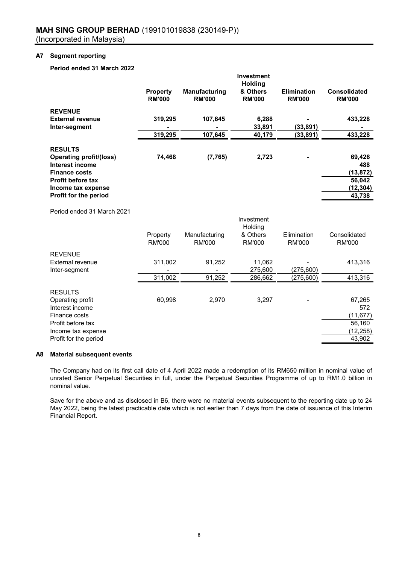## **A7 Segment reporting**

## **Period ended 31 March 2022**

|                                             | <b>Property</b><br><b>RM'000</b> | Manufacturing<br><b>RM'000</b> | Investment<br><b>Holding</b><br>& Others<br><b>RM'000</b> | <b>Elimination</b><br><b>RM'000</b> | <b>Consolidated</b><br><b>RM'000</b> |
|---------------------------------------------|----------------------------------|--------------------------------|-----------------------------------------------------------|-------------------------------------|--------------------------------------|
| <b>REVENUE</b>                              |                                  |                                |                                                           |                                     |                                      |
| <b>External revenue</b>                     | 319,295                          | 107,645                        | 6,288                                                     |                                     | 433,228                              |
| Inter-segment                               |                                  |                                | 33,891                                                    | (33, 891)                           |                                      |
|                                             | 319,295                          | 107,645                        | 40,179                                                    | (33, 891)                           | 433,228                              |
| <b>RESULTS</b>                              |                                  |                                |                                                           |                                     |                                      |
| <b>Operating profit/(loss)</b>              | 74,468                           | (7, 765)                       | 2,723                                                     |                                     | 69,426                               |
| Interest income                             |                                  |                                |                                                           |                                     | 488                                  |
| <b>Finance costs</b>                        |                                  |                                |                                                           |                                     | (13, 872)                            |
| Profit before tax                           |                                  |                                |                                                           |                                     | 56,042                               |
| Income tax expense<br>Profit for the period |                                  |                                |                                                           |                                     | (12, 304)<br>43,738                  |
|                                             |                                  |                                |                                                           |                                     |                                      |
| Period ended 31 March 2021                  |                                  |                                |                                                           |                                     |                                      |
|                                             |                                  |                                | Investment<br>Holding                                     |                                     |                                      |
|                                             | Property                         | Manufacturing                  | & Others                                                  | Elimination                         | Consolidated                         |
|                                             | <b>RM'000</b>                    | <b>RM'000</b>                  | <b>RM'000</b>                                             | <b>RM'000</b>                       | <b>RM'000</b>                        |
| <b>REVENUE</b>                              |                                  |                                |                                                           |                                     |                                      |
| <b>External revenue</b>                     | 311,002                          | 91,252                         | 11,062                                                    |                                     | 413,316                              |
| Inter-segment                               |                                  |                                | 275,600                                                   | (275, 600)                          |                                      |
|                                             | 311,002                          | 91,252                         | 286,662                                                   | (275, 600)                          | 413,316                              |
| <b>RESULTS</b>                              |                                  |                                |                                                           |                                     |                                      |
| Operating profit                            | 60,998                           | 2,970                          | 3,297                                                     |                                     | 67,265                               |
| Interest income                             |                                  |                                |                                                           |                                     | 572                                  |

| Interest income       | 572      |
|-----------------------|----------|
| Finance costs         | (11.677) |
| Profit before tax     | 56.160   |
| Income tax expense    | (12,258) |
| Profit for the period | 43.902   |

### **A8 Material subsequent events**

The Company had on its first call date of 4 April 2022 made a redemption of its RM650 million in nominal value of unrated Senior Perpetual Securities in full, under the Perpetual Securities Programme of up to RM1.0 billion in nominal value.

Save for the above and as disclosed in B6, there were no material events subsequent to the reporting date up to 24 May 2022, being the latest practicable date which is not earlier than 7 days from the date of issuance of this Interim Financial Report.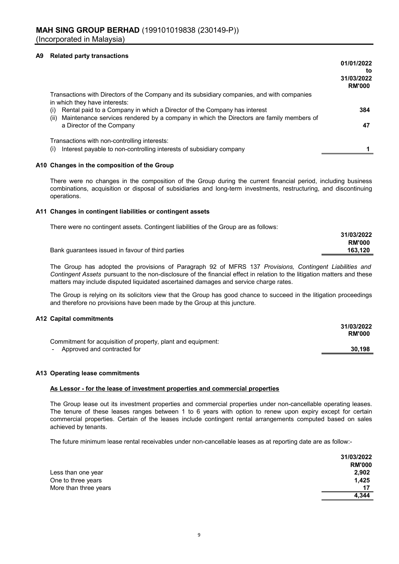#### **A9 Related party transactions**

|                                                                                                                                                                                             | 01/01/2022<br>to<br>31/03/2022<br><b>RM'000</b> |
|---------------------------------------------------------------------------------------------------------------------------------------------------------------------------------------------|-------------------------------------------------|
| Transactions with Directors of the Company and its subsidiary companies, and with companies<br>in which they have interests:                                                                |                                                 |
| Rental paid to a Company in which a Director of the Company has interest<br>$\mathbf{I}$<br>Maintenance services rendered by a company in which the Directors are family members of<br>(ii) | 384                                             |
| a Director of the Company                                                                                                                                                                   | 47                                              |
| Transactions with non-controlling interests:                                                                                                                                                |                                                 |
| Interest payable to non-controlling interests of subsidiary company<br>(i)                                                                                                                  |                                                 |

#### **A10 Changes in the composition of the Group**

There were no changes in the composition of the Group during the current financial period, including business combinations, acquisition or disposal of subsidiaries and long-term investments, restructuring, and discontinuing operations.

#### **A11 Changes in contingent liabilities or contingent assets**

There were no contingent assets. Contingent liabilities of the Group are as follows:

|                                                   | 31/03/2022    |
|---------------------------------------------------|---------------|
|                                                   | <b>RM'000</b> |
| Bank guarantees issued in favour of third parties | 163.120       |
|                                                   |               |

The Group has adopted the provisions of Paragraph 92 of MFRS 137 *Provisions, Contingent Liabilities and Contingent Assets* pursuant to the non-disclosure of the financial effect in relation to the litigation matters and these matters may include disputed liquidated ascertained damages and service charge rates.

The Group is relying on its solicitors view that the Group has good chance to succeed in the litigation proceedings and therefore no provisions have been made by the Group at this juncture.

#### **A12 Capital commitments**

|                                                              | 31/03/2022<br><b>RM'000</b> |
|--------------------------------------------------------------|-----------------------------|
| Commitment for acquisition of property, plant and equipment: |                             |
| Approved and contracted for                                  | 30.198                      |

**31/03/2022**

#### **A13 Operating lease commitments**

#### **As Lessor - for the lease of investment properties and commercial properties**

The Group lease out its investment properties and commercial properties under non-cancellable operating leases. The tenure of these leases ranges between 1 to 6 years with option to renew upon expiry except for certain commercial properties. Certain of the leases include contingent rental arrangements computed based on sales achieved by tenants.

The future minimum lease rental receivables under non-cancellable leases as at reporting date are as follow:-

|                       | 31/03/2022    |
|-----------------------|---------------|
|                       | <b>RM'000</b> |
| Less than one year    | 2,902         |
| One to three years    | 1,425         |
| More than three years | 17            |
|                       | 4.344         |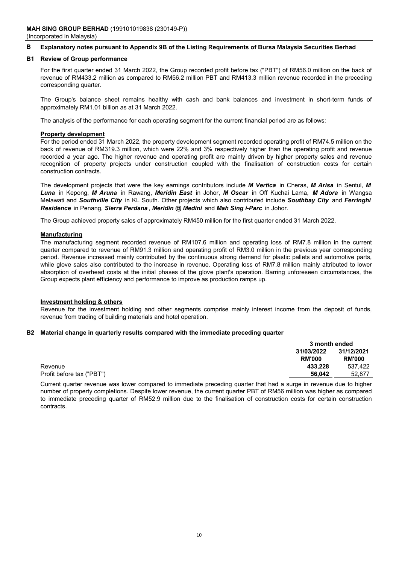#### **B Explanatory notes pursuant to Appendix 9B of the Listing Requirements of Bursa Malaysia Securities Berhad**

#### **B1 Review of Group performance**

For the first quarter ended 31 March 2022, the Group recorded profit before tax ("PBT") of RM56.0 million on the back of revenue of RM433.2 million as compared to RM56.2 million PBT and RM413.3 million revenue recorded in the preceding corresponding quarter.

The Group's balance sheet remains healthy with cash and bank balances and investment in short-term funds of approximately RM1.01 billion as at 31 March 2022.

The analysis of the performance for each operating segment for the current financial period are as follows:

#### **Property development**

For the period ended 31 March 2022, the property development segment recorded operating profit of RM74.5 million on the back of revenue of RM319.3 million, which were 22% and 3% respectively higher than the operating profit and revenue recorded a year ago. The higher revenue and operating profit are mainly driven by higher property sales and revenue recognition of property projects under construction coupled with the finalisation of construction costs for certain construction contracts.

The development projects that were the key earnings contributors include *M Vertica* in Cheras, *M Arisa* in Sentul, *M Luna* in Kepong, *M Aruna* in Rawang, *Meridin East* in Johor, *M Oscar* in Off Kuchai Lama, *M Adora* in Wangsa Melawati and *Southville City* in KL South. Other projects which also contributed include *Southbay City* and *Ferringhi Residence* in Penang, *Sierra Perdana* , *Meridin @ Medini* and *Mah Sing i-Parc* in Johor.

The Group achieved property sales of approximately RM450 million for the first quarter ended 31 March 2022.

#### **Manufacturing**

The manufacturing segment recorded revenue of RM107.6 million and operating loss of RM7.8 million in the current quarter compared to revenue of RM91.3 million and operating profit of RM3.0 million in the previous year corresponding period. Revenue increased mainly contributed by the continuous strong demand for plastic pallets and automotive parts, while glove sales also contributed to the increase in revenue. Operating loss of RM7.8 million mainly attributed to lower absorption of overhead costs at the initial phases of the glove plant's operation. Barring unforeseen circumstances, the Group expects plant efficiency and performance to improve as production ramps up.

#### **Investment holding & others**

Revenue for the investment holding and other segments comprise mainly interest income from the deposit of funds, revenue from trading of building materials and hotel operation.

#### **B2 Material change in quarterly results compared with the immediate preceding quarter**

|                           |               | 3 month ended |  |
|---------------------------|---------------|---------------|--|
|                           | 31/03/2022    | 31/12/2021    |  |
|                           | <b>RM'000</b> | <b>RM'000</b> |  |
| Revenue                   | 433.228       | 537.422       |  |
| Profit before tax ("PBT") | 56.042        | 52.877        |  |
|                           |               |               |  |

Current quarter revenue was lower compared to immediate preceding quarter that had a surge in revenue due to higher number of property completions. Despite lower revenue, the current quarter PBT of RM56 million was higher as compared to immediate preceding quarter of RM52.9 million due to the finalisation of construction costs for certain construction contracts.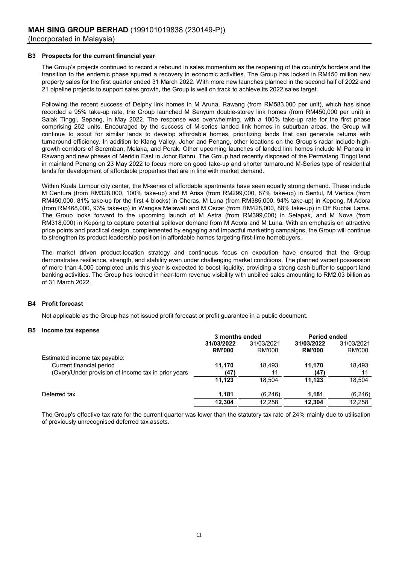#### **B3 Prospects for the current financial year**

The Group's projects continued to record a rebound in sales momentum as the reopening of the country's borders and the transition to the endemic phase spurred a recovery in economic activities. The Group has locked in RM450 million new property sales for the first quarter ended 31 March 2022. With more new launches planned in the second half of 2022 and 21 pipeline projects to support sales growth, the Group is well on track to achieve its 2022 sales target.

Following the recent success of Delphy link homes in M Aruna, Rawang (from RM583,000 per unit), which has since recorded a 95% take-up rate, the Group launched M Senyum double-storey link homes (from RM450,000 per unit) in Salak Tinggi, Sepang, in May 2022. The response was overwhelming, with a 100% take-up rate for the first phase comprising 262 units. Encouraged by the success of M-series landed link homes in suburban areas, the Group will continue to scout for similar lands to develop affordable homes, prioritizing lands that can generate returns with turnaround efficiency. In addition to Klang Valley, Johor and Penang, other locations on the Group's radar include highgrowth corridors of Seremban, Melaka, and Perak. Other upcoming launches of landed link homes include M Panora in Rawang and new phases of Meridin East in Johor Bahru. The Group had recently disposed of the Permatang Tinggi land in mainland Penang on 23 May 2022 to focus more on good take-up and shorter turnaround M-Series type of residential lands for development of affordable properties that are in line with market demand.

Within Kuala Lumpur city center, the M-series of affordable apartments have seen equally strong demand. These include M Centura (from RM328,000, 100% take-up) and M Arisa (from RM299,000, 87% take-up) in Sentul, M Vertica (from RM450,000, 81% take-up for the first 4 blocks) in Cheras, M Luna (from RM385,000, 94% take-up) in Kepong, M Adora (from RM468,000, 93% take-up) in Wangsa Melawati and M Oscar (from RM428,000, 88% take-up) in Off Kuchai Lama. The Group looks forward to the upcoming launch of M Astra (from RM399,000) in Setapak, and M Nova (from RM318,000) in Kepong to capture potential spillover demand from M Adora and M Luna. With an emphasis on attractive price points and practical design, complemented by engaging and impactful marketing campaigns, the Group will continue to strengthen its product leadership position in affordable homes targeting first-time homebuyers.

The market driven product-location strategy and continuous focus on execution have ensured that the Group demonstrates resilience, strength, and stability even under challenging market conditions. The planned vacant possession of more than 4,000 completed units this year is expected to boost liquidity, providing a strong cash buffer to support land banking activities. The Group has locked in near-term revenue visibility with unbilled sales amounting to RM2.03 billion as of 31 March 2022.

#### **B4 Profit forecast**

Not applicable as the Group has not issued profit forecast or profit guarantee in a public document.

#### **B5 Income tax expense**

|                                                     | 3 months ended              |                      | <b>Period ended</b>         |                             |
|-----------------------------------------------------|-----------------------------|----------------------|-----------------------------|-----------------------------|
|                                                     | 31/03/2022<br><b>RM'000</b> | 31/03/2021<br>RM'000 | 31/03/2022<br><b>RM'000</b> | 31/03/2021<br><b>RM'000</b> |
| Estimated income tax payable:                       |                             |                      |                             |                             |
| Current financial period                            | 11.170                      | 18.493               | 11.170                      | 18,493                      |
| (Over)/Under provision of income tax in prior years | (47)                        | 11                   | (47)                        | 11                          |
|                                                     | 11.123                      | 18.504               | 11.123                      | 18,504                      |
| Deferred tax                                        | 1,181                       | (6, 246)             | 1.181                       | (6,246)                     |
|                                                     | 12.304                      | 12.258               | 12.304                      | 12.258                      |
|                                                     |                             |                      |                             |                             |

The Group's effective tax rate for the current quarter was lower than the statutory tax rate of 24% mainly due to utilisation of previously unrecognised deferred tax assets.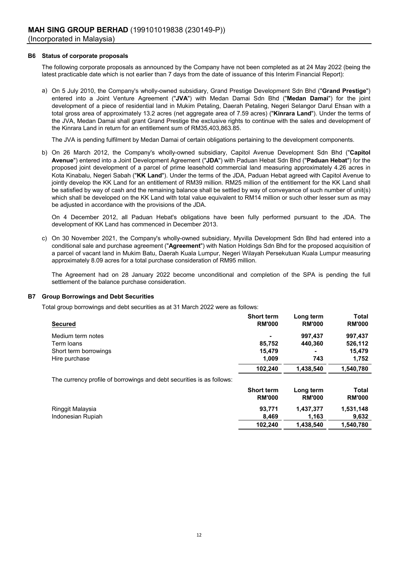#### **B6 Status of corporate proposals**

The following corporate proposals as announced by the Company have not been completed as at 24 May 2022 (being the latest practicable date which is not earlier than 7 days from the date of issuance of this Interim Financial Report):

a) On 5 July 2010, the Company's wholly-owned subsidiary, Grand Prestige Development Sdn Bhd ("**Grand Prestige**") entered into a Joint Venture Agreement ("**JVA**") with Medan Damai Sdn Bhd ("**Medan Damai**") for the joint development of a piece of residential land in Mukim Petaling, Daerah Petaling, Negeri Selangor Darul Ehsan with a total gross area of approximately 13.2 acres (net aggregate area of 7.59 acres) ("**Kinrara Land**"). Under the terms of the JVA, Medan Damai shall grant Grand Prestige the exclusive rights to continue with the sales and development of the Kinrara Land in return for an entitlement sum of RM35,403,863.85.

The JVA is pending fulfilment by Medan Damai of certain obligations pertaining to the development components.

b) On 26 March 2012, the Company's wholly-owned subsidiary, Capitol Avenue Development Sdn Bhd ("**Capitol Avenue**") entered into a Joint Development Agreement ("**JDA**") with Paduan Hebat Sdn Bhd ("**Paduan Hebat**") for the proposed joint development of a parcel of prime leasehold commercial land measuring approximately 4.26 acres in Kota Kinabalu, Negeri Sabah ("**KK Land**"). Under the terms of the JDA, Paduan Hebat agreed with Capitol Avenue to jointly develop the KK Land for an entitlement of RM39 million. RM25 million of the entitlement for the KK Land shall be satisfied by way of cash and the remaining balance shall be settled by way of conveyance of such number of unit(s) which shall be developed on the KK Land with total value equivalent to RM14 million or such other lesser sum as may be adjusted in accordance with the provisions of the JDA.

On 4 December 2012, all Paduan Hebat's obligations have been fully performed pursuant to the JDA. The development of KK Land has commenced in December 2013.

c) On 30 November 2021, the Company's wholly-owned subsidiary, Myvilla Development Sdn Bhd had entered into a conditional sale and purchase agreement ("**Agreement**") with Nation Holdings Sdn Bhd for the proposed acquisition of a parcel of vacant land in Mukim Batu, Daerah Kuala Lumpur, Negeri Wilayah Persekutuan Kuala Lumpur measuring approximately 8.09 acres for a total purchase consideration of RM95 million.

The Agreement had on 28 January 2022 become unconditional and completion of the SPA is pending the full settlement of the balance purchase consideration.

#### **B7 Group Borrowings and Debt Securities**

Total group borrowings and debt securities as at 31 March 2022 were as follows:

|                                                                       | <b>Short term</b>                  | Long term                  | Total                  |
|-----------------------------------------------------------------------|------------------------------------|----------------------------|------------------------|
| <b>Secured</b>                                                        | <b>RM'000</b>                      | <b>RM'000</b>              | <b>RM'000</b>          |
| Medium term notes                                                     | ۰                                  | 997,437                    | 997,437                |
| Term loans                                                            | 85,752                             | 440.360                    | 526,112                |
| Short term borrowings                                                 | 15,479                             |                            | 15,479                 |
| Hire purchase                                                         | 1.009                              | 743                        | 1,752                  |
|                                                                       | 102,240                            | 1,438,540                  | 1,540,780              |
| The currency profile of borrowings and debt securities is as follows: |                                    |                            |                        |
|                                                                       | <b>Short term</b><br><b>RM'000</b> | Long term<br><b>RM'000</b> | Total<br><b>RM'000</b> |

| Ringgit Malaysia  | 93.771  | 1.437.377 | 1,531,148 |
|-------------------|---------|-----------|-----------|
| Indonesian Rupiah | 8.469   | 1.163     | 9.632     |
|                   | 102.240 | 1.438.540 | 1,540,780 |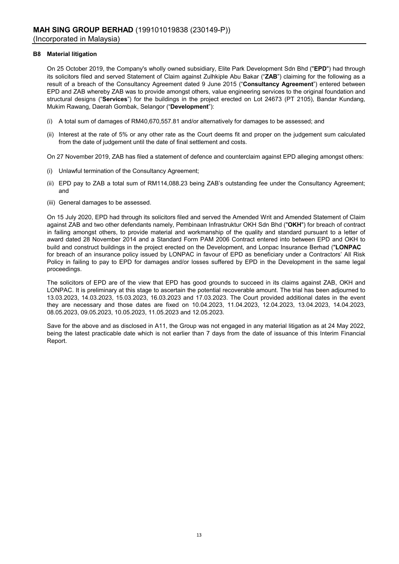#### **B8 Material litigation**

On 25 October 2019, the Company's wholly owned subsidiary, Elite Park Development Sdn Bhd ("**EPD**") had through its solicitors filed and served Statement of Claim against Zulhkiple Abu Bakar ("**ZAB**") claiming for the following as a result of a breach of the Consultancy Agreement dated 9 June 2015 ("**Consultancy Agreement**") entered between EPD and ZAB whereby ZAB was to provide amongst others, value engineering services to the original foundation and structural designs ("**Services**") for the buildings in the project erected on Lot 24673 (PT 2105), Bandar Kundang, Mukim Rawang, Daerah Gombak, Selangor ("**Development**"):

- (i) A total sum of damages of RM40,670,557.81 and/or alternatively for damages to be assessed; and
- (ii) Interest at the rate of 5% or any other rate as the Court deems fit and proper on the judgement sum calculated from the date of judgement until the date of final settlement and costs.

On 27 November 2019, ZAB has filed a statement of defence and counterclaim against EPD alleging amongst others:

- (i) Unlawful termination of the Consultancy Agreement;
- (ii) EPD pay to ZAB a total sum of RM114,088.23 being ZAB's outstanding fee under the Consultancy Agreement; and
- (iii) General damages to be assessed.

On 15 July 2020, EPD had through its solicitors filed and served the Amended Writ and Amended Statement of Claim against ZAB and two other defendants namely, Pembinaan Infrastruktur OKH Sdn Bhd ("**OKH**") for breach of contract in failing amongst others, to provide material and workmanship of the quality and standard pursuant to a letter of award dated 28 November 2014 and a Standard Form PAM 2006 Contract entered into between EPD and OKH to build and construct buildings in the project erected on the Development, and Lonpac Insurance Berhad ("**LONPAC** for breach of an insurance policy issued by LONPAC in favour of EPD as beneficiary under a Contractors' All Risk Policy in failing to pay to EPD for damages and/or losses suffered by EPD in the Development in the same legal proceedings.

The solicitors of EPD are of the view that EPD has good grounds to succeed in its claims against ZAB, OKH and LONPAC. It is preliminary at this stage to ascertain the potential recoverable amount. The trial has been adjourned to 13.03.2023, 14.03.2023, 15.03.2023, 16.03.2023 and 17.03.2023. The Court provided additional dates in the event they are necessary and those dates are fixed on 10.04.2023, 11.04.2023, 12.04.2023, 13.04.2023, 14.04.2023, 08.05.2023, 09.05.2023, 10.05.2023, 11.05.2023 and 12.05.2023.

Save for the above and as disclosed in A11, the Group was not engaged in any material litigation as at 24 May 2022, being the latest practicable date which is not earlier than 7 days from the date of issuance of this Interim Financial Report.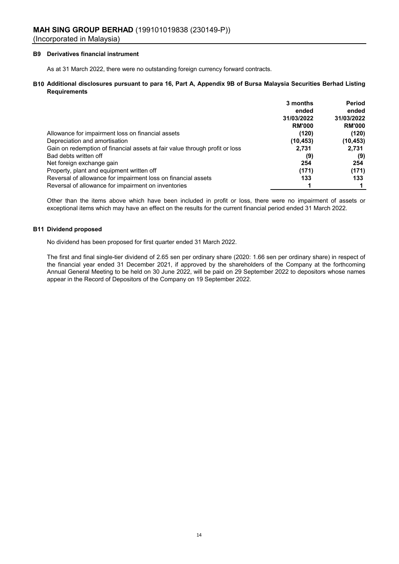#### **B9 Derivatives financial instrument**

As at 31 March 2022, there were no outstanding foreign currency forward contracts.

#### **B10 Additional disclosures pursuant to para 16, Part A, Appendix 9B of Bursa Malaysia Securities Berhad Listing Requirements**

|                                                                             | 3 months      | <b>Period</b> |
|-----------------------------------------------------------------------------|---------------|---------------|
|                                                                             | ended         | ended         |
|                                                                             | 31/03/2022    | 31/03/2022    |
|                                                                             | <b>RM'000</b> | <b>RM'000</b> |
| Allowance for impairment loss on financial assets                           | (120)         | (120)         |
| Depreciation and amortisation                                               | (10, 453)     | (10, 453)     |
| Gain on redemption of financial assets at fair value through profit or loss | 2,731         | 2,731         |
| Bad debts written off                                                       | (9)           | (9)           |
| Net foreign exchange gain                                                   | 254           | 254           |
| Property, plant and equipment written off                                   | (171)         | (171)         |
| Reversal of allowance for impairment loss on financial assets               | 133           | 133           |
| Reversal of allowance for impairment on inventories                         |               |               |

Other than the items above which have been included in profit or loss, there were no impairment of assets or exceptional items which may have an effect on the results for the current financial period ended 31 March 2022.

#### **B11 Dividend proposed**

No dividend has been proposed for first quarter ended 31 March 2022.

The first and final single-tier dividend of 2.65 sen per ordinary share (2020: 1.66 sen per ordinary share) in respect of the financial year ended 31 December 2021, if approved by the shareholders of the Company at the forthcoming Annual General Meeting to be held on 30 June 2022, will be paid on 29 September 2022 to depositors whose names appear in the Record of Depositors of the Company on 19 September 2022.